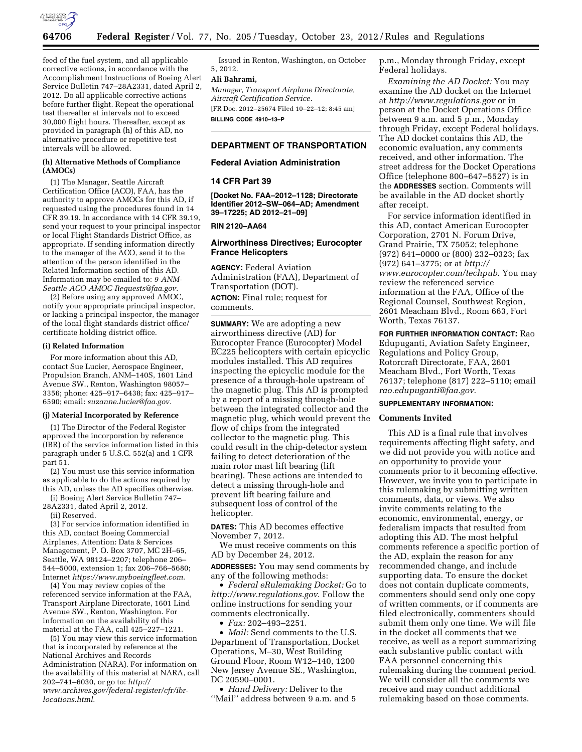

feed of the fuel system, and all applicable corrective actions, in accordance with the Accomplishment Instructions of Boeing Alert Service Bulletin 747–28A2331, dated April 2, 2012. Do all applicable corrective actions before further flight. Repeat the operational test thereafter at intervals not to exceed 30,000 flight hours. Thereafter, except as provided in paragraph (h) of this AD, no alternative procedure or repetitive test intervals will be allowed.

## **(h) Alternative Methods of Compliance (AMOCs)**

(1) The Manager, Seattle Aircraft Certification Office (ACO), FAA, has the authority to approve AMOCs for this AD, if requested using the procedures found in 14 CFR 39.19. In accordance with 14 CFR 39.19, send your request to your principal inspector or local Flight Standards District Office, as appropriate. If sending information directly to the manager of the ACO, send it to the attention of the person identified in the Related Information section of this AD. Information may be emailed to: *[9-ANM-](mailto:9-ANM-Seattle-ACO-AMOC-Requests@faa.gov)[Seattle-ACO-AMOC-Requests@faa.gov.](mailto:9-ANM-Seattle-ACO-AMOC-Requests@faa.gov)* 

(2) Before using any approved AMOC, notify your appropriate principal inspector, or lacking a principal inspector, the manager of the local flight standards district office/ certificate holding district office.

### **(i) Related Information**

For more information about this AD, contact Sue Lucier, Aerospace Engineer, Propulsion Branch, ANM–140S, 1601 Lind Avenue SW., Renton, Washington 98057– 3356; phone: 425–917–6438; fax: 425–917– 6590; email: *[suzanne.lucier@faa.gov.](mailto:suzanne.lucier@faa.gov)* 

### **(j) Material Incorporated by Reference**

(1) The Director of the Federal Register approved the incorporation by reference (IBR) of the service information listed in this paragraph under 5 U.S.C. 552(a) and 1 CFR part 51.

(2) You must use this service information as applicable to do the actions required by this AD, unless the AD specifies otherwise.

(i) Boeing Alert Service Bulletin 747–

28A2331, dated April 2, 2012.

(ii) Reserved.

(3) For service information identified in this AD, contact Boeing Commercial Airplanes, Attention: Data & Services Management, P. O. Box 3707, MC 2H–65, Seattle, WA 98124–2207; telephone 206– 544–5000, extension 1; fax 206–766–5680; Internet *<https://www.myboeingfleet.com>*.

(4) You may review copies of the referenced service information at the FAA, Transport Airplane Directorate, 1601 Lind Avenue SW., Renton, Washington. For information on the availability of this material at the FAA, call 425–227–1221.

(5) You may view this service information that is incorporated by reference at the National Archives and Records Administration (NARA). For information on the availability of this material at NARA, call 202–741–6030, or go to: *[http://](http://www.archives.gov/federal-register/cfr/ibr-locations.html) [www.archives.gov/federal-register/cfr/ibr](http://www.archives.gov/federal-register/cfr/ibr-locations.html)[locations.html](http://www.archives.gov/federal-register/cfr/ibr-locations.html)*.

Issued in Renton, Washington, on October 5, 2012.

# **Ali Bahrami,**

*Manager, Transport Airplane Directorate, Aircraft Certification Service.*  [FR Doc. 2012–25674 Filed 10–22–12; 8:45 am]

**BILLING CODE 4910–13–P** 

# **DEPARTMENT OF TRANSPORTATION**

## **Federal Aviation Administration**

## **14 CFR Part 39**

**[Docket No. FAA–2012–1128; Directorate Identifier 2012–SW–064–AD; Amendment 39–17225; AD 2012–21–09]** 

## **RIN 2120–AA64**

## **Airworthiness Directives; Eurocopter France Helicopters**

**AGENCY:** Federal Aviation Administration (FAA), Department of Transportation (DOT). **ACTION:** Final rule; request for comments.

**SUMMARY:** We are adopting a new airworthiness directive (AD) for Eurocopter France (Eurocopter) Model EC225 helicopters with certain epicyclic modules installed. This AD requires inspecting the epicyclic module for the presence of a through-hole upstream of the magnetic plug. This AD is prompted by a report of a missing through-hole between the integrated collector and the magnetic plug, which would prevent the flow of chips from the integrated collector to the magnetic plug. This could result in the chip-detector system failing to detect deterioration of the main rotor mast lift bearing (lift bearing). These actions are intended to detect a missing through-hole and prevent lift bearing failure and subsequent loss of control of the helicopter.

**DATES:** This AD becomes effective November 7, 2012.

We must receive comments on this AD by December 24, 2012.

**ADDRESSES:** You may send comments by any of the following methods:

• *Federal eRulemaking Docket:* Go to *<http://www.regulations.gov>*. Follow the online instructions for sending your comments electronically.

• *Fax:* 202–493–2251.

• *Mail:* Send comments to the U.S. Department of Transportation, Docket Operations, M–30, West Building Ground Floor, Room W12–140, 1200 New Jersey Avenue SE., Washington, DC 20590–0001.

• *Hand Delivery:* Deliver to the ''Mail'' address between 9 a.m. and 5 p.m., Monday through Friday, except Federal holidays.

*Examining the AD Docket:* You may examine the AD docket on the Internet at *<http://www.regulations.gov>* or in person at the Docket Operations Office between 9 a.m. and 5 p.m., Monday through Friday, except Federal holidays. The AD docket contains this AD, the economic evaluation, any comments received, and other information. The street address for the Docket Operations Office (telephone 800–647–5527) is in the **ADDRESSES** section. Comments will be available in the AD docket shortly after receipt.

For service information identified in this AD, contact American Eurocopter Corporation, 2701 N. Forum Drive, Grand Prairie, TX 75052; telephone (972) 641–0000 or (800) 232–0323; fax (972) 641–3775; or at *[http://](http://www.eurocopter.com/techpub)  [www.eurocopter.com/techpub](http://www.eurocopter.com/techpub)*. You may review the referenced service information at the FAA, Office of the Regional Counsel, Southwest Region, 2601 Meacham Blvd., Room 663, Fort Worth, Texas 76137.

**FOR FURTHER INFORMATION CONTACT:** Rao Edupuganti, Aviation Safety Engineer, Regulations and Policy Group, Rotorcraft Directorate, FAA, 2601 Meacham Blvd., Fort Worth, Texas 76137; telephone (817) 222–5110; email *[rao.edupuganti@faa.gov](mailto:rao.edupuganti@faa.gov)*.

# **SUPPLEMENTARY INFORMATION:**

## **Comments Invited**

This AD is a final rule that involves requirements affecting flight safety, and we did not provide you with notice and an opportunity to provide your comments prior to it becoming effective. However, we invite you to participate in this rulemaking by submitting written comments, data, or views. We also invite comments relating to the economic, environmental, energy, or federalism impacts that resulted from adopting this AD. The most helpful comments reference a specific portion of the AD, explain the reason for any recommended change, and include supporting data. To ensure the docket does not contain duplicate comments, commenters should send only one copy of written comments, or if comments are filed electronically, commenters should submit them only one time. We will file in the docket all comments that we receive, as well as a report summarizing each substantive public contact with FAA personnel concerning this rulemaking during the comment period. We will consider all the comments we receive and may conduct additional rulemaking based on those comments.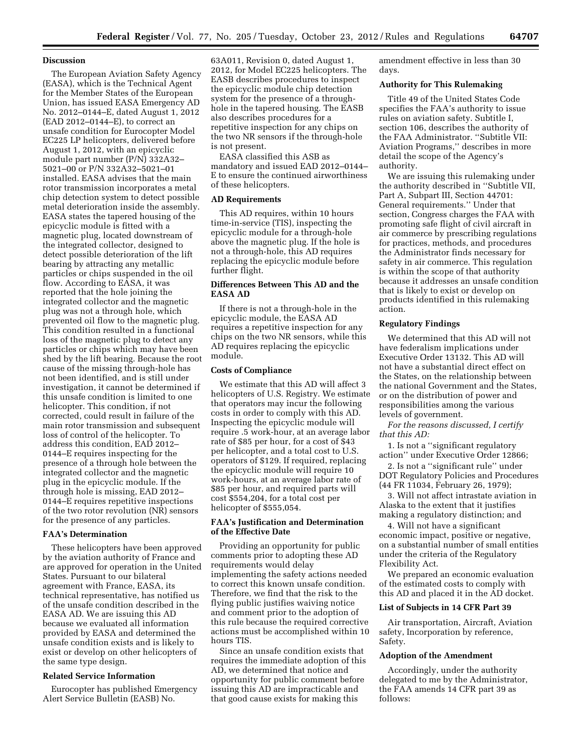# **Discussion**

The European Aviation Safety Agency (EASA), which is the Technical Agent for the Member States of the European Union, has issued EASA Emergency AD No. 2012–0144–E, dated August 1, 2012 (EAD 2012–0144–E), to correct an unsafe condition for Eurocopter Model EC225 LP helicopters, delivered before August 1, 2012, with an epicyclic module part number (P/N) 332A32– 5021–00 or P/N 332A32–5021–01 installed. EASA advises that the main rotor transmission incorporates a metal chip detection system to detect possible metal deterioration inside the assembly. EASA states the tapered housing of the epicyclic module is fitted with a magnetic plug, located downstream of the integrated collector, designed to detect possible deterioration of the lift bearing by attracting any metallic particles or chips suspended in the oil flow. According to EASA, it was reported that the hole joining the integrated collector and the magnetic plug was not a through hole, which prevented oil flow to the magnetic plug. This condition resulted in a functional loss of the magnetic plug to detect any particles or chips which may have been shed by the lift bearing. Because the root cause of the missing through-hole has not been identified, and is still under investigation, it cannot be determined if this unsafe condition is limited to one helicopter. This condition, if not corrected, could result in failure of the main rotor transmission and subsequent loss of control of the helicopter. To address this condition, EAD 2012– 0144–E requires inspecting for the presence of a through hole between the integrated collector and the magnetic plug in the epicyclic module. If the through hole is missing, EAD 2012– 0144–E requires repetitive inspections of the two rotor revolution (NR) sensors for the presence of any particles.

### **FAA's Determination**

These helicopters have been approved by the aviation authority of France and are approved for operation in the United States. Pursuant to our bilateral agreement with France, EASA, its technical representative, has notified us of the unsafe condition described in the EASA AD. We are issuing this AD because we evaluated all information provided by EASA and determined the unsafe condition exists and is likely to exist or develop on other helicopters of the same type design.

### **Related Service Information**

Eurocopter has published Emergency Alert Service Bulletin (EASB) No.

63A011, Revision 0, dated August 1, 2012, for Model EC225 helicopters. The EASB describes procedures to inspect the epicyclic module chip detection system for the presence of a throughhole in the tapered housing. The EASB also describes procedures for a repetitive inspection for any chips on the two NR sensors if the through-hole is not present.

EASA classified this ASB as mandatory and issued EAD 2012–0144– E to ensure the continued airworthiness of these helicopters.

### **AD Requirements**

This AD requires, within 10 hours time-in-service (TIS), inspecting the epicyclic module for a through-hole above the magnetic plug. If the hole is not a through-hole, this AD requires replacing the epicyclic module before further flight.

# **Differences Between This AD and the EASA AD**

If there is not a through-hole in the epicyclic module, the EASA AD requires a repetitive inspection for any chips on the two NR sensors, while this AD requires replacing the epicyclic module.

## **Costs of Compliance**

We estimate that this AD will affect 3 helicopters of U.S. Registry. We estimate that operators may incur the following costs in order to comply with this AD. Inspecting the epicyclic module will require .5 work-hour, at an average labor rate of \$85 per hour, for a cost of \$43 per helicopter, and a total cost to U.S. operators of \$129. If required, replacing the epicyclic module will require 10 work-hours, at an average labor rate of \$85 per hour, and required parts will cost \$554,204, for a total cost per helicopter of \$555,054.

## **FAA's Justification and Determination of the Effective Date**

Providing an opportunity for public comments prior to adopting these AD requirements would delay implementing the safety actions needed to correct this known unsafe condition. Therefore, we find that the risk to the flying public justifies waiving notice and comment prior to the adoption of this rule because the required corrective actions must be accomplished within 10 hours TIS.

Since an unsafe condition exists that requires the immediate adoption of this AD, we determined that notice and opportunity for public comment before issuing this AD are impracticable and that good cause exists for making this

amendment effective in less than 30 days.

# **Authority for This Rulemaking**

Title 49 of the United States Code specifies the FAA's authority to issue rules on aviation safety. Subtitle I, section 106, describes the authority of the FAA Administrator. ''Subtitle VII: Aviation Programs,'' describes in more detail the scope of the Agency's authority.

We are issuing this rulemaking under the authority described in ''Subtitle VII, Part A, Subpart III, Section 44701: General requirements.'' Under that section, Congress charges the FAA with promoting safe flight of civil aircraft in air commerce by prescribing regulations for practices, methods, and procedures the Administrator finds necessary for safety in air commerce. This regulation is within the scope of that authority because it addresses an unsafe condition that is likely to exist or develop on products identified in this rulemaking action.

# **Regulatory Findings**

We determined that this AD will not have federalism implications under Executive Order 13132. This AD will not have a substantial direct effect on the States, on the relationship between the national Government and the States, or on the distribution of power and responsibilities among the various levels of government.

*For the reasons discussed, I certify that this AD:* 

1. Is not a ''significant regulatory action'' under Executive Order 12866;

2. Is not a ''significant rule'' under DOT Regulatory Policies and Procedures (44 FR 11034, February 26, 1979);

3. Will not affect intrastate aviation in Alaska to the extent that it justifies making a regulatory distinction; and

4. Will not have a significant economic impact, positive or negative, on a substantial number of small entities under the criteria of the Regulatory Flexibility Act.

We prepared an economic evaluation of the estimated costs to comply with this AD and placed it in the AD docket.

### **List of Subjects in 14 CFR Part 39**

Air transportation, Aircraft, Aviation safety, Incorporation by reference, Safety.

## **Adoption of the Amendment**

Accordingly, under the authority delegated to me by the Administrator, the FAA amends 14 CFR part 39 as follows: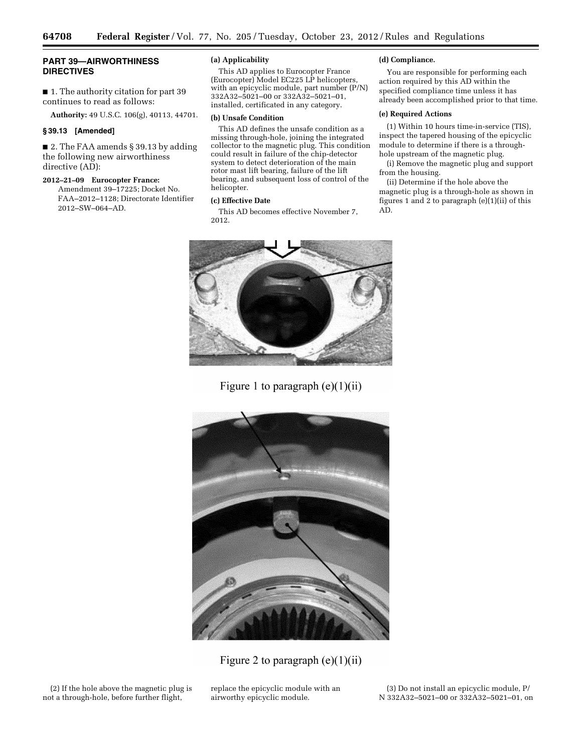# **PART 39—AIRWORTHINESS DIRECTIVES**

■ 1. The authority citation for part 39 continues to read as follows:

**Authority:** 49 U.S.C. 106(g), 40113, 44701.

# **§ 39.13 [Amended]**

■ 2. The FAA amends § 39.13 by adding the following new airworthiness directive (AD):

# **2012–21–09 Eurocopter France:**

Amendment 39–17225; Docket No. FAA–2012–1128; Directorate Identifier 2012–SW–064–AD.

# **(a) Applicability**

This AD applies to Eurocopter France (Eurocopter) Model EC225 LP helicopters, with an epicyclic module, part number (P/N) 332A32–5021–00 or 332A32–5021–01, installed, certificated in any category.

## **(b) Unsafe Condition**

This AD defines the unsafe condition as a missing through-hole, joining the integrated collector to the magnetic plug. This condition could result in failure of the chip-detector system to detect deterioration of the main rotor mast lift bearing, failure of the lift bearing, and subsequent loss of control of the helicopter.

# **(c) Effective Date**

This AD becomes effective November 7, 2012.

# **(d) Compliance.**

You are responsible for performing each action required by this AD within the specified compliance time unless it has already been accomplished prior to that time.

# **(e) Required Actions**

(1) Within 10 hours time-in-service (TIS), inspect the tapered housing of the epicyclic module to determine if there is a throughhole upstream of the magnetic plug.

(i) Remove the magnetic plug and support from the housing.

(ii) Determine if the hole above the magnetic plug is a through-hole as shown in figures 1 and 2 to paragraph (e)(1)(ii) of this AD.



Figure 1 to paragraph  $(e)(1)(ii)$ 



Figure 2 to paragraph  $(e)(1)(ii)$ 

(2) If the hole above the magnetic plug is not a through-hole, before further flight,

replace the epicyclic module with an airworthy epicyclic module.

(3) Do not install an epicyclic module, P/ N 332A32–5021–00 or 332A32–5021–01, on